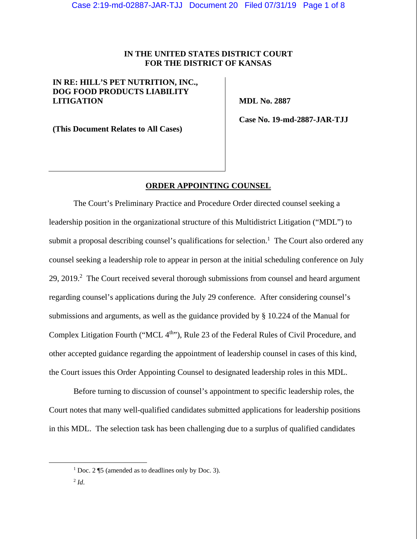# **IN THE UNITED STATES DISTRICT COURT FOR THE DISTRICT OF KANSAS**

# **IN RE: HILL'S PET NUTRITION, INC., DOG FOOD PRODUCTS LIABILITY LITIGATION**

 **MDL No. 2887** 

**(This Document Relates to All Cases)** 

 **Case No. 19-md-2887-JAR-TJJ** 

#### **ORDER APPOINTING COUNSEL**

The Court's Preliminary Practice and Procedure Order directed counsel seeking a leadership position in the organizational structure of this Multidistrict Litigation ("MDL") to submit a proposal describing counsel's qualifications for selection.<sup>1</sup> The Court also ordered any counsel seeking a leadership role to appear in person at the initial scheduling conference on July 29, 2019.<sup>2</sup> The Court received several thorough submissions from counsel and heard argument regarding counsel's applications during the July 29 conference. After considering counsel's submissions and arguments, as well as the guidance provided by § 10.224 of the Manual for Complex Litigation Fourth ("MCL 4<sup>th</sup>"), Rule 23 of the Federal Rules of Civil Procedure, and other accepted guidance regarding the appointment of leadership counsel in cases of this kind, the Court issues this Order Appointing Counsel to designated leadership roles in this MDL.

Before turning to discussion of counsel's appointment to specific leadership roles, the Court notes that many well-qualified candidates submitted applications for leadership positions in this MDL. The selection task has been challenging due to a surplus of qualified candidates

<sup>&</sup>lt;u>1</u>  $1\text{ Doc.}$  2 ¶5 (amended as to deadlines only by Doc. 3).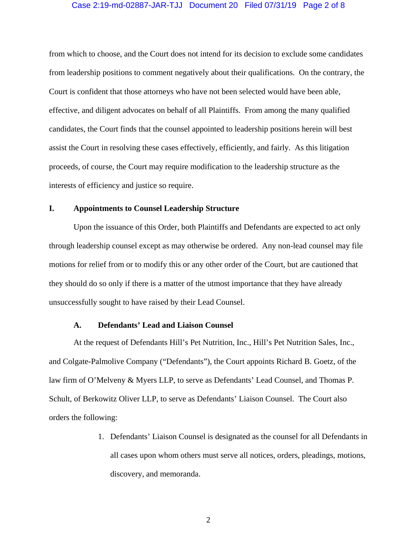### Case 2:19-md-02887-JAR-TJJ Document 20 Filed 07/31/19 Page 2 of 8

from which to choose, and the Court does not intend for its decision to exclude some candidates from leadership positions to comment negatively about their qualifications. On the contrary, the Court is confident that those attorneys who have not been selected would have been able, effective, and diligent advocates on behalf of all Plaintiffs. From among the many qualified candidates, the Court finds that the counsel appointed to leadership positions herein will best assist the Court in resolving these cases effectively, efficiently, and fairly. As this litigation proceeds, of course, the Court may require modification to the leadership structure as the interests of efficiency and justice so require.

## **I. Appointments to Counsel Leadership Structure**

Upon the issuance of this Order, both Plaintiffs and Defendants are expected to act only through leadership counsel except as may otherwise be ordered. Any non-lead counsel may file motions for relief from or to modify this or any other order of the Court, but are cautioned that they should do so only if there is a matter of the utmost importance that they have already unsuccessfully sought to have raised by their Lead Counsel.

#### **A. Defendants' Lead and Liaison Counsel**

At the request of Defendants Hill's Pet Nutrition, Inc., Hill's Pet Nutrition Sales, Inc., and Colgate-Palmolive Company ("Defendants"), the Court appoints Richard B. Goetz, of the law firm of O'Melveny & Myers LLP, to serve as Defendants' Lead Counsel, and Thomas P. Schult, of Berkowitz Oliver LLP, to serve as Defendants' Liaison Counsel. The Court also orders the following:

> 1. Defendants' Liaison Counsel is designated as the counsel for all Defendants in all cases upon whom others must serve all notices, orders, pleadings, motions, discovery, and memoranda.

> > 2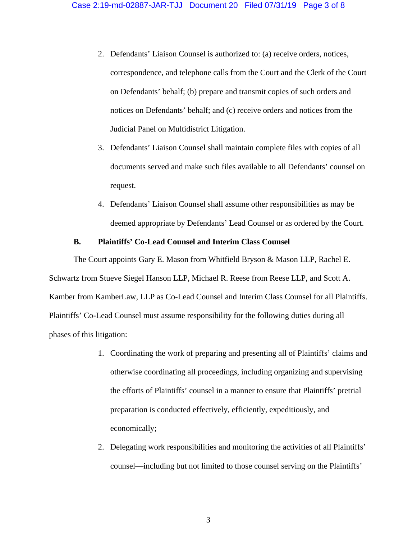- 2. Defendants' Liaison Counsel is authorized to: (a) receive orders, notices, correspondence, and telephone calls from the Court and the Clerk of the Court on Defendants' behalf; (b) prepare and transmit copies of such orders and notices on Defendants' behalf; and (c) receive orders and notices from the Judicial Panel on Multidistrict Litigation.
- 3. Defendants' Liaison Counsel shall maintain complete files with copies of all documents served and make such files available to all Defendants' counsel on request.
- 4. Defendants' Liaison Counsel shall assume other responsibilities as may be deemed appropriate by Defendants' Lead Counsel or as ordered by the Court.

### **B. Plaintiffs' Co-Lead Counsel and Interim Class Counsel**

The Court appoints Gary E. Mason from Whitfield Bryson & Mason LLP, Rachel E. Schwartz from Stueve Siegel Hanson LLP, Michael R. Reese from Reese LLP, and Scott A. Kamber from KamberLaw, LLP as Co-Lead Counsel and Interim Class Counsel for all Plaintiffs. Plaintiffs' Co-Lead Counsel must assume responsibility for the following duties during all phases of this litigation:

- 1. Coordinating the work of preparing and presenting all of Plaintiffs' claims and otherwise coordinating all proceedings, including organizing and supervising the efforts of Plaintiffs' counsel in a manner to ensure that Plaintiffs' pretrial preparation is conducted effectively, efficiently, expeditiously, and economically;
- 2. Delegating work responsibilities and monitoring the activities of all Plaintiffs' counsel—including but not limited to those counsel serving on the Plaintiffs'

3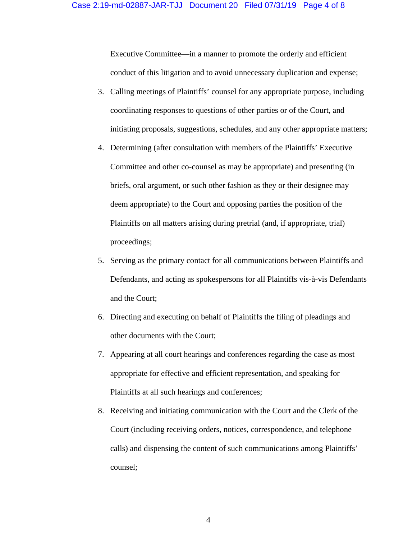Executive Committee—in a manner to promote the orderly and efficient conduct of this litigation and to avoid unnecessary duplication and expense;

- 3. Calling meetings of Plaintiffs' counsel for any appropriate purpose, including coordinating responses to questions of other parties or of the Court, and initiating proposals, suggestions, schedules, and any other appropriate matters;
- 4. Determining (after consultation with members of the Plaintiffs' Executive Committee and other co-counsel as may be appropriate) and presenting (in briefs, oral argument, or such other fashion as they or their designee may deem appropriate) to the Court and opposing parties the position of the Plaintiffs on all matters arising during pretrial (and, if appropriate, trial) proceedings;
- 5. Serving as the primary contact for all communications between Plaintiffs and Defendants, and acting as spokespersons for all Plaintiffs vis-à-vis Defendants and the Court;
- 6. Directing and executing on behalf of Plaintiffs the filing of pleadings and other documents with the Court;
- 7. Appearing at all court hearings and conferences regarding the case as most appropriate for effective and efficient representation, and speaking for Plaintiffs at all such hearings and conferences;
- 8. Receiving and initiating communication with the Court and the Clerk of the Court (including receiving orders, notices, correspondence, and telephone calls) and dispensing the content of such communications among Plaintiffs' counsel;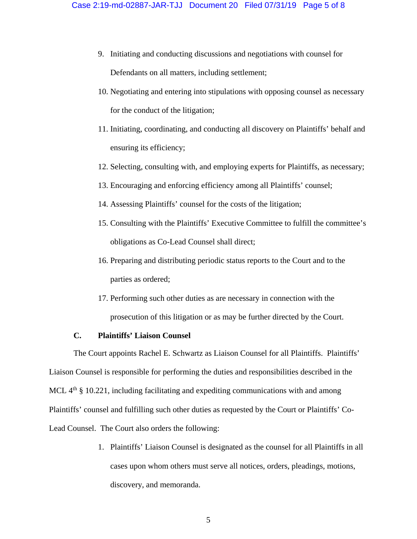- 9. Initiating and conducting discussions and negotiations with counsel for Defendants on all matters, including settlement;
- 10. Negotiating and entering into stipulations with opposing counsel as necessary for the conduct of the litigation;
- 11. Initiating, coordinating, and conducting all discovery on Plaintiffs' behalf and ensuring its efficiency;
- 12. Selecting, consulting with, and employing experts for Plaintiffs, as necessary;
- 13. Encouraging and enforcing efficiency among all Plaintiffs' counsel;
- 14. Assessing Plaintiffs' counsel for the costs of the litigation;
- 15. Consulting with the Plaintiffs' Executive Committee to fulfill the committee's obligations as Co-Lead Counsel shall direct;
- 16. Preparing and distributing periodic status reports to the Court and to the parties as ordered;
- 17. Performing such other duties as are necessary in connection with the prosecution of this litigation or as may be further directed by the Court.

## **C. Plaintiffs' Liaison Counsel**

The Court appoints Rachel E. Schwartz as Liaison Counsel for all Plaintiffs. Plaintiffs' Liaison Counsel is responsible for performing the duties and responsibilities described in the MCL  $4<sup>th</sup>$  § 10.221, including facilitating and expediting communications with and among Plaintiffs' counsel and fulfilling such other duties as requested by the Court or Plaintiffs' Co-Lead Counsel. The Court also orders the following:

> 1. Plaintiffs' Liaison Counsel is designated as the counsel for all Plaintiffs in all cases upon whom others must serve all notices, orders, pleadings, motions, discovery, and memoranda.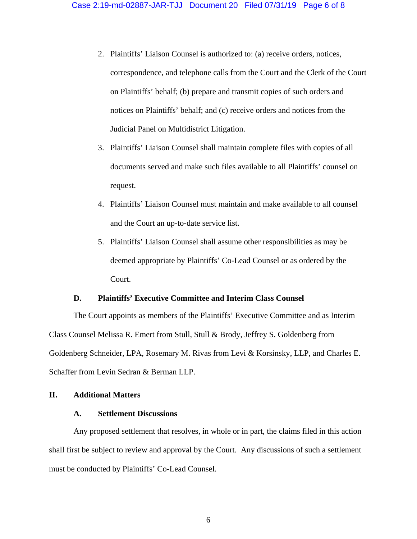- 2. Plaintiffs' Liaison Counsel is authorized to: (a) receive orders, notices, correspondence, and telephone calls from the Court and the Clerk of the Court on Plaintiffs' behalf; (b) prepare and transmit copies of such orders and notices on Plaintiffs' behalf; and (c) receive orders and notices from the Judicial Panel on Multidistrict Litigation.
- 3. Plaintiffs' Liaison Counsel shall maintain complete files with copies of all documents served and make such files available to all Plaintiffs' counsel on request.
- 4. Plaintiffs' Liaison Counsel must maintain and make available to all counsel and the Court an up-to-date service list.
- 5. Plaintiffs' Liaison Counsel shall assume other responsibilities as may be deemed appropriate by Plaintiffs' Co-Lead Counsel or as ordered by the Court.

# **D. Plaintiffs' Executive Committee and Interim Class Counsel**

The Court appoints as members of the Plaintiffs' Executive Committee and as Interim Class Counsel Melissa R. Emert from Stull, Stull & Brody, Jeffrey S. Goldenberg from Goldenberg Schneider, LPA, Rosemary M. Rivas from Levi & Korsinsky, LLP, and Charles E. Schaffer from Levin Sedran & Berman LLP.

# **II. Additional Matters**

### **A. Settlement Discussions**

Any proposed settlement that resolves, in whole or in part, the claims filed in this action shall first be subject to review and approval by the Court. Any discussions of such a settlement must be conducted by Plaintiffs' Co-Lead Counsel.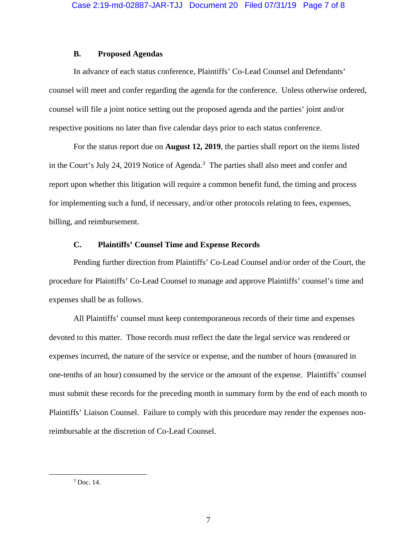# **B. Proposed Agendas**

In advance of each status conference, Plaintiffs' Co-Lead Counsel and Defendants' counsel will meet and confer regarding the agenda for the conference. Unless otherwise ordered, counsel will file a joint notice setting out the proposed agenda and the parties' joint and/or respective positions no later than five calendar days prior to each status conference.

For the status report due on **August 12, 2019**, the parties shall report on the items listed in the Court's July 24, 2019 Notice of Agenda.<sup>3</sup> The parties shall also meet and confer and report upon whether this litigation will require a common benefit fund, the timing and process for implementing such a fund, if necessary, and/or other protocols relating to fees, expenses, billing, and reimbursement.

## **C. Plaintiffs' Counsel Time and Expense Records**

Pending further direction from Plaintiffs' Co-Lead Counsel and/or order of the Court, the procedure for Plaintiffs' Co-Lead Counsel to manage and approve Plaintiffs' counsel's time and expenses shall be as follows.

All Plaintiffs' counsel must keep contemporaneous records of their time and expenses devoted to this matter. Those records must reflect the date the legal service was rendered or expenses incurred, the nature of the service or expense, and the number of hours (measured in one-tenths of an hour) consumed by the service or the amount of the expense. Plaintiffs' counsel must submit these records for the preceding month in summary form by the end of each month to Plaintiffs' Liaison Counsel. Failure to comply with this procedure may render the expenses nonreimbursable at the discretion of Co-Lead Counsel.

 $\frac{1}{3}$  $3$  Doc. 14.